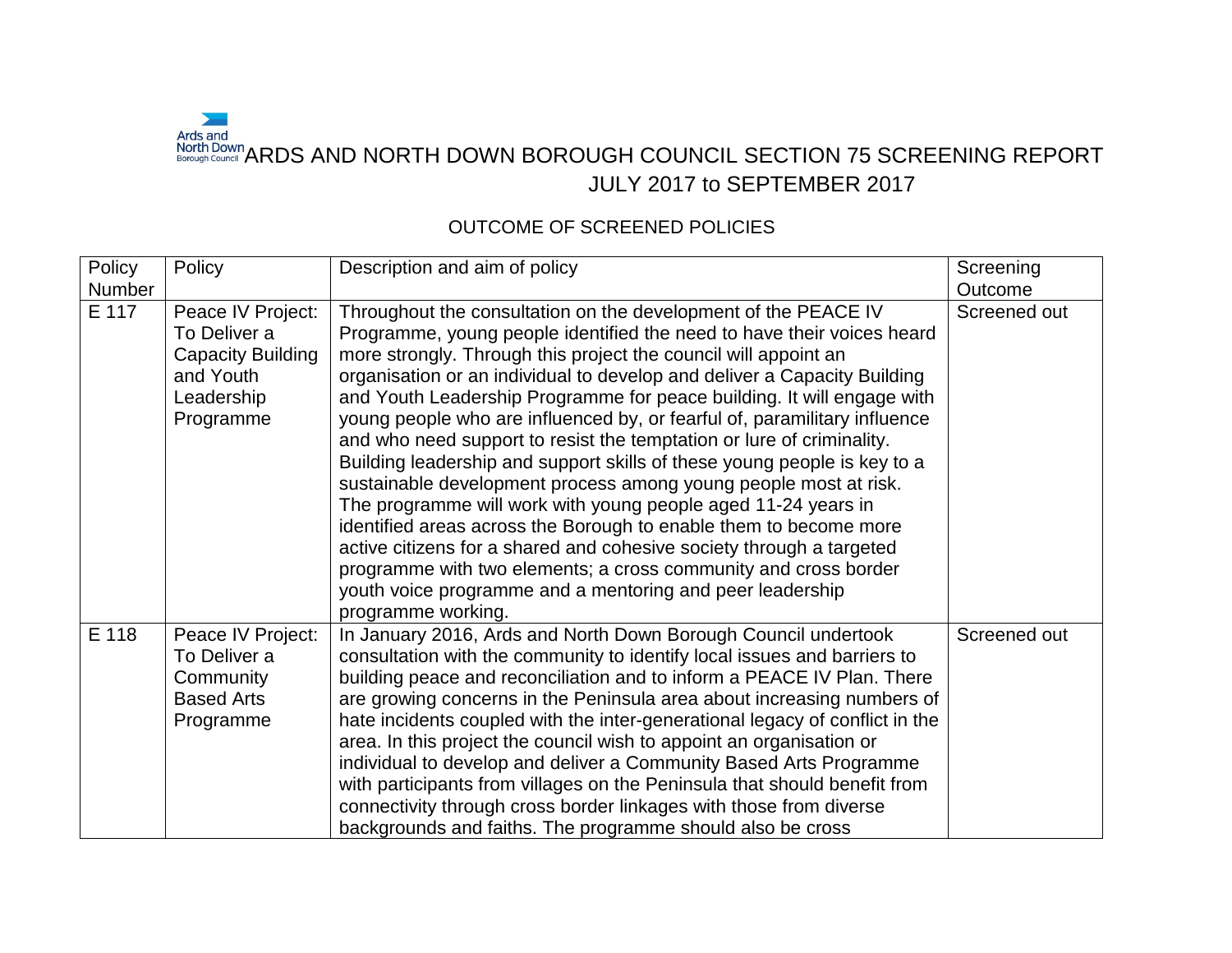## $\sim$ Ards and<br>North Down<br>Borough Council "ARDS AND NORTH DOWN BOROUGH COUNCIL SECTION 75 SCREENING REPORT JULY 2017 to SEPTEMBER 2017

## OUTCOME OF SCREENED POLICIES

| Policy | Policy                                                                                                | Description and aim of policy                                                                                                                                                                                                                                                                                                                                                                                                                                                                                                                                                                                                                                                                                                                                                                                                                                                                                                                                                                                                               | Screening    |
|--------|-------------------------------------------------------------------------------------------------------|---------------------------------------------------------------------------------------------------------------------------------------------------------------------------------------------------------------------------------------------------------------------------------------------------------------------------------------------------------------------------------------------------------------------------------------------------------------------------------------------------------------------------------------------------------------------------------------------------------------------------------------------------------------------------------------------------------------------------------------------------------------------------------------------------------------------------------------------------------------------------------------------------------------------------------------------------------------------------------------------------------------------------------------------|--------------|
| Number |                                                                                                       |                                                                                                                                                                                                                                                                                                                                                                                                                                                                                                                                                                                                                                                                                                                                                                                                                                                                                                                                                                                                                                             | Outcome      |
| E 117  | Peace IV Project:<br>To Deliver a<br><b>Capacity Building</b><br>and Youth<br>Leadership<br>Programme | Throughout the consultation on the development of the PEACE IV<br>Programme, young people identified the need to have their voices heard<br>more strongly. Through this project the council will appoint an<br>organisation or an individual to develop and deliver a Capacity Building<br>and Youth Leadership Programme for peace building. It will engage with<br>young people who are influenced by, or fearful of, paramilitary influence<br>and who need support to resist the temptation or lure of criminality.<br>Building leadership and support skills of these young people is key to a<br>sustainable development process among young people most at risk.<br>The programme will work with young people aged 11-24 years in<br>identified areas across the Borough to enable them to become more<br>active citizens for a shared and cohesive society through a targeted<br>programme with two elements; a cross community and cross border<br>youth voice programme and a mentoring and peer leadership<br>programme working. | Screened out |
| E 118  | Peace IV Project:<br>To Deliver a<br>Community<br><b>Based Arts</b><br>Programme                      | In January 2016, Ards and North Down Borough Council undertook<br>consultation with the community to identify local issues and barriers to<br>building peace and reconciliation and to inform a PEACE IV Plan. There<br>are growing concerns in the Peninsula area about increasing numbers of<br>hate incidents coupled with the inter-generational legacy of conflict in the<br>area. In this project the council wish to appoint an organisation or<br>individual to develop and deliver a Community Based Arts Programme<br>with participants from villages on the Peninsula that should benefit from<br>connectivity through cross border linkages with those from diverse<br>backgrounds and faiths. The programme should also be cross                                                                                                                                                                                                                                                                                               | Screened out |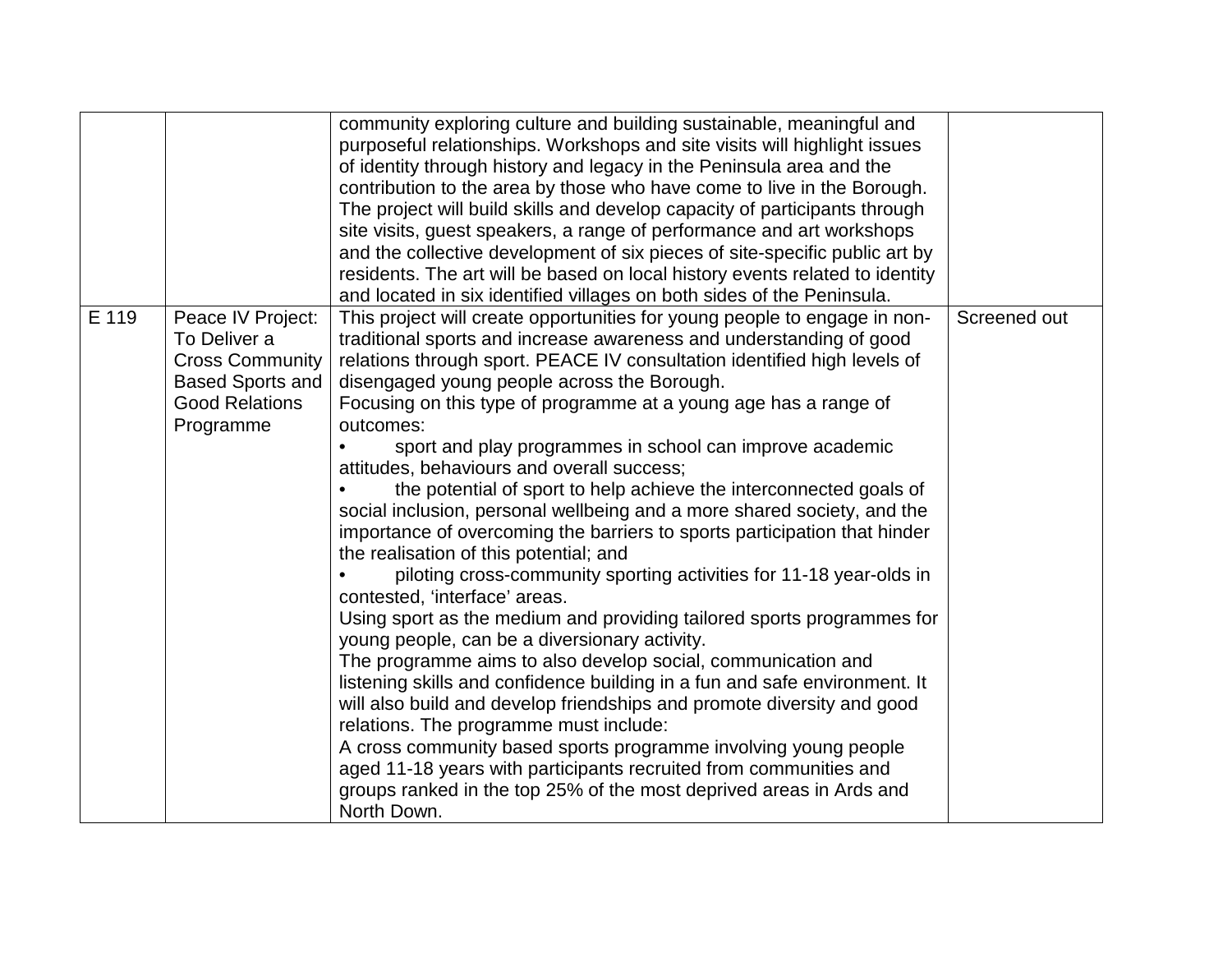|                                                                                                                                       | community exploring culture and building sustainable, meaningful and<br>purposeful relationships. Workshops and site visits will highlight issues<br>of identity through history and legacy in the Peninsula area and the<br>contribution to the area by those who have come to live in the Borough.<br>The project will build skills and develop capacity of participants through<br>site visits, guest speakers, a range of performance and art workshops<br>and the collective development of six pieces of site-specific public art by<br>residents. The art will be based on local history events related to identity<br>and located in six identified villages on both sides of the Peninsula.                                                                                                                                                                                                                                                                                                                                                                                                                                                                                                                                                                                                                                                                                                                                                                              |              |
|---------------------------------------------------------------------------------------------------------------------------------------|-----------------------------------------------------------------------------------------------------------------------------------------------------------------------------------------------------------------------------------------------------------------------------------------------------------------------------------------------------------------------------------------------------------------------------------------------------------------------------------------------------------------------------------------------------------------------------------------------------------------------------------------------------------------------------------------------------------------------------------------------------------------------------------------------------------------------------------------------------------------------------------------------------------------------------------------------------------------------------------------------------------------------------------------------------------------------------------------------------------------------------------------------------------------------------------------------------------------------------------------------------------------------------------------------------------------------------------------------------------------------------------------------------------------------------------------------------------------------------------|--------------|
| E 119<br>Peace IV Project:<br>To Deliver a<br><b>Cross Community</b><br><b>Based Sports and</b><br><b>Good Relations</b><br>Programme | This project will create opportunities for young people to engage in non-<br>traditional sports and increase awareness and understanding of good<br>relations through sport. PEACE IV consultation identified high levels of<br>disengaged young people across the Borough.<br>Focusing on this type of programme at a young age has a range of<br>outcomes:<br>sport and play programmes in school can improve academic<br>attitudes, behaviours and overall success;<br>the potential of sport to help achieve the interconnected goals of<br>social inclusion, personal wellbeing and a more shared society, and the<br>importance of overcoming the barriers to sports participation that hinder<br>the realisation of this potential; and<br>piloting cross-community sporting activities for 11-18 year-olds in<br>contested, 'interface' areas.<br>Using sport as the medium and providing tailored sports programmes for<br>young people, can be a diversionary activity.<br>The programme aims to also develop social, communication and<br>listening skills and confidence building in a fun and safe environment. It<br>will also build and develop friendships and promote diversity and good<br>relations. The programme must include:<br>A cross community based sports programme involving young people<br>aged 11-18 years with participants recruited from communities and<br>groups ranked in the top 25% of the most deprived areas in Ards and<br>North Down. | Screened out |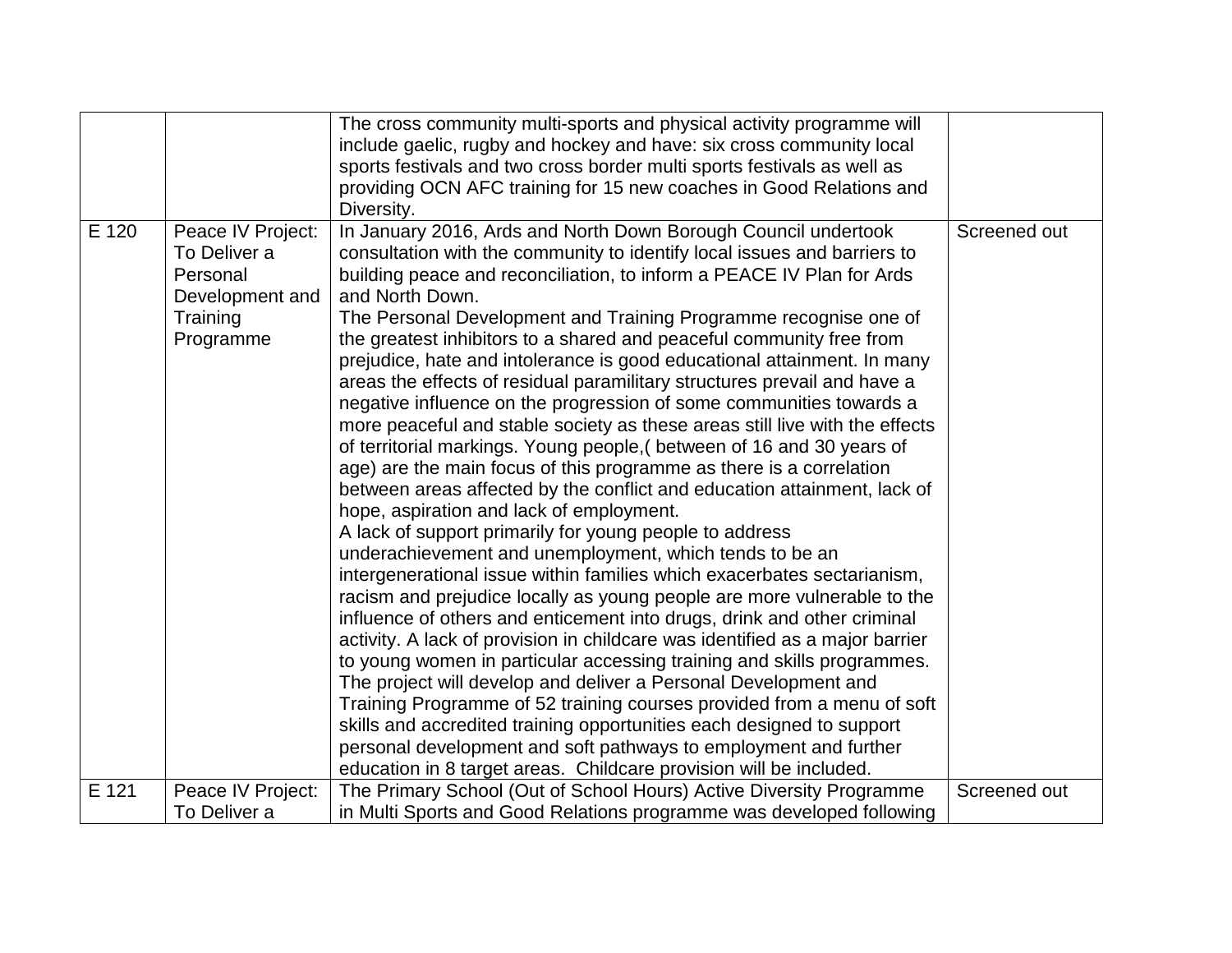|       |                                                                                           | The cross community multi-sports and physical activity programme will<br>include gaelic, rugby and hockey and have: six cross community local<br>sports festivals and two cross border multi sports festivals as well as<br>providing OCN AFC training for 15 new coaches in Good Relations and<br>Diversity.                                                                                                                                                                                                                                                                                                                                                                                                                                                                                                                                                                                                                                                                                                                                                                                                                                                                                                                                                                                                                                                                                                                                                                                                                                                                                                                                                                                                                                                                                                                                            |              |
|-------|-------------------------------------------------------------------------------------------|----------------------------------------------------------------------------------------------------------------------------------------------------------------------------------------------------------------------------------------------------------------------------------------------------------------------------------------------------------------------------------------------------------------------------------------------------------------------------------------------------------------------------------------------------------------------------------------------------------------------------------------------------------------------------------------------------------------------------------------------------------------------------------------------------------------------------------------------------------------------------------------------------------------------------------------------------------------------------------------------------------------------------------------------------------------------------------------------------------------------------------------------------------------------------------------------------------------------------------------------------------------------------------------------------------------------------------------------------------------------------------------------------------------------------------------------------------------------------------------------------------------------------------------------------------------------------------------------------------------------------------------------------------------------------------------------------------------------------------------------------------------------------------------------------------------------------------------------------------|--------------|
| E 120 | Peace IV Project:<br>To Deliver a<br>Personal<br>Development and<br>Training<br>Programme | In January 2016, Ards and North Down Borough Council undertook<br>consultation with the community to identify local issues and barriers to<br>building peace and reconciliation, to inform a PEACE IV Plan for Ards<br>and North Down.<br>The Personal Development and Training Programme recognise one of<br>the greatest inhibitors to a shared and peaceful community free from<br>prejudice, hate and intolerance is good educational attainment. In many<br>areas the effects of residual paramilitary structures prevail and have a<br>negative influence on the progression of some communities towards a<br>more peaceful and stable society as these areas still live with the effects<br>of territorial markings. Young people, (between of 16 and 30 years of<br>age) are the main focus of this programme as there is a correlation<br>between areas affected by the conflict and education attainment, lack of<br>hope, aspiration and lack of employment.<br>A lack of support primarily for young people to address<br>underachievement and unemployment, which tends to be an<br>intergenerational issue within families which exacerbates sectarianism,<br>racism and prejudice locally as young people are more vulnerable to the<br>influence of others and enticement into drugs, drink and other criminal<br>activity. A lack of provision in childcare was identified as a major barrier<br>to young women in particular accessing training and skills programmes.<br>The project will develop and deliver a Personal Development and<br>Training Programme of 52 training courses provided from a menu of soft<br>skills and accredited training opportunities each designed to support<br>personal development and soft pathways to employment and further<br>education in 8 target areas. Childcare provision will be included. | Screened out |
| E 121 | Peace IV Project:                                                                         | The Primary School (Out of School Hours) Active Diversity Programme                                                                                                                                                                                                                                                                                                                                                                                                                                                                                                                                                                                                                                                                                                                                                                                                                                                                                                                                                                                                                                                                                                                                                                                                                                                                                                                                                                                                                                                                                                                                                                                                                                                                                                                                                                                      | Screened out |
|       | To Deliver a                                                                              | in Multi Sports and Good Relations programme was developed following                                                                                                                                                                                                                                                                                                                                                                                                                                                                                                                                                                                                                                                                                                                                                                                                                                                                                                                                                                                                                                                                                                                                                                                                                                                                                                                                                                                                                                                                                                                                                                                                                                                                                                                                                                                     |              |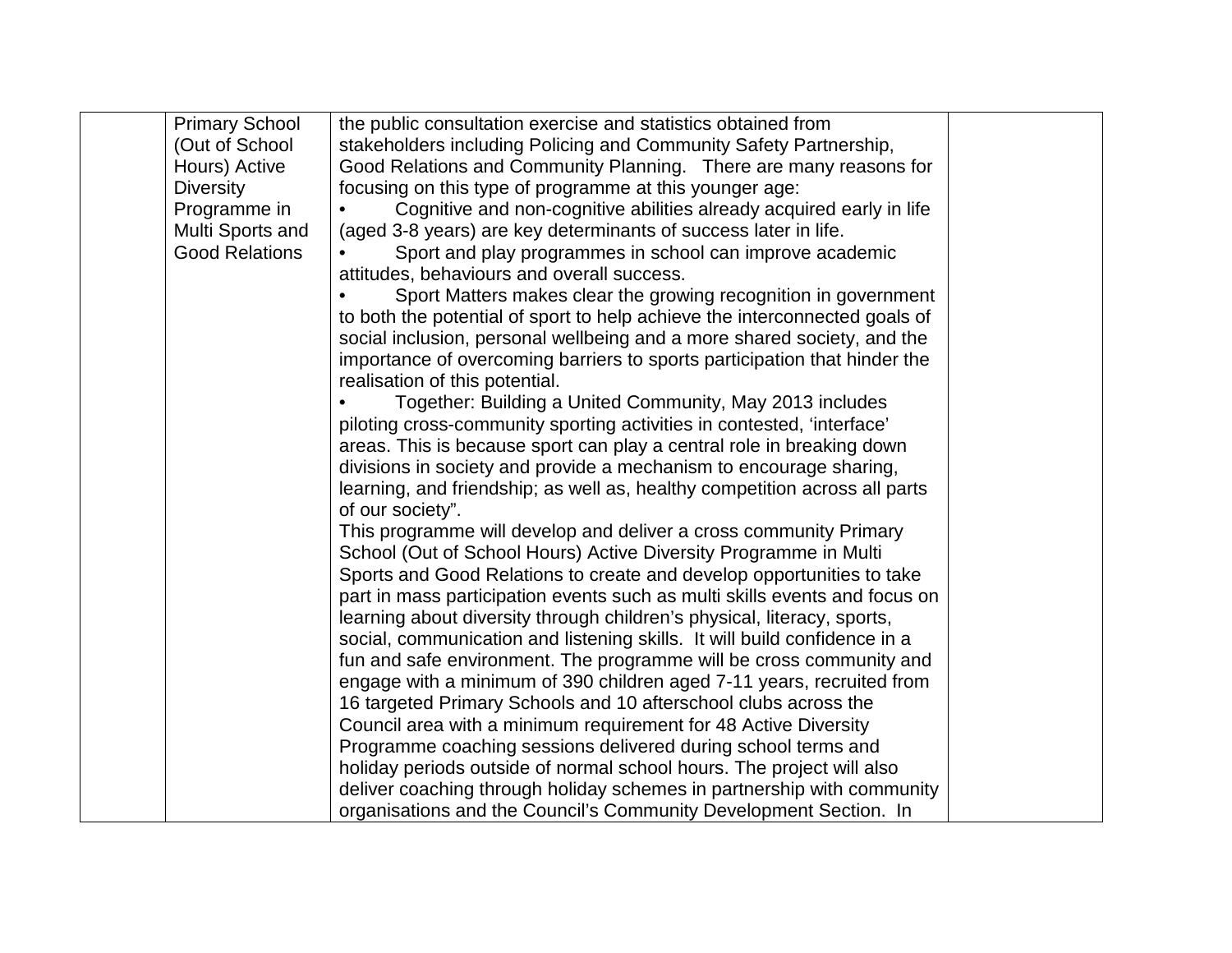| <b>Primary School</b> | the public consultation exercise and statistics obtained from              |  |
|-----------------------|----------------------------------------------------------------------------|--|
| (Out of School        | stakeholders including Policing and Community Safety Partnership,          |  |
| Hours) Active         | Good Relations and Community Planning. There are many reasons for          |  |
| <b>Diversity</b>      | focusing on this type of programme at this younger age:                    |  |
| Programme in          | Cognitive and non-cognitive abilities already acquired early in life       |  |
| Multi Sports and      | (aged 3-8 years) are key determinants of success later in life.            |  |
| <b>Good Relations</b> | Sport and play programmes in school can improve academic                   |  |
|                       | attitudes, behaviours and overall success.                                 |  |
|                       | Sport Matters makes clear the growing recognition in government            |  |
|                       | to both the potential of sport to help achieve the interconnected goals of |  |
|                       | social inclusion, personal wellbeing and a more shared society, and the    |  |
|                       | importance of overcoming barriers to sports participation that hinder the  |  |
|                       | realisation of this potential.                                             |  |
|                       | Together: Building a United Community, May 2013 includes                   |  |
|                       | piloting cross-community sporting activities in contested, 'interface'     |  |
|                       | areas. This is because sport can play a central role in breaking down      |  |
|                       | divisions in society and provide a mechanism to encourage sharing,         |  |
|                       | learning, and friendship; as well as, healthy competition across all parts |  |
|                       | of our society".                                                           |  |
|                       | This programme will develop and deliver a cross community Primary          |  |
|                       | School (Out of School Hours) Active Diversity Programme in Multi           |  |
|                       | Sports and Good Relations to create and develop opportunities to take      |  |
|                       | part in mass participation events such as multi skills events and focus on |  |
|                       | learning about diversity through children's physical, literacy, sports,    |  |
|                       | social, communication and listening skills. It will build confidence in a  |  |
|                       | fun and safe environment. The programme will be cross community and        |  |
|                       | engage with a minimum of 390 children aged 7-11 years, recruited from      |  |
|                       | 16 targeted Primary Schools and 10 afterschool clubs across the            |  |
|                       | Council area with a minimum requirement for 48 Active Diversity            |  |
|                       | Programme coaching sessions delivered during school terms and              |  |
|                       | holiday periods outside of normal school hours. The project will also      |  |
|                       | deliver coaching through holiday schemes in partnership with community     |  |
|                       | organisations and the Council's Community Development Section. In          |  |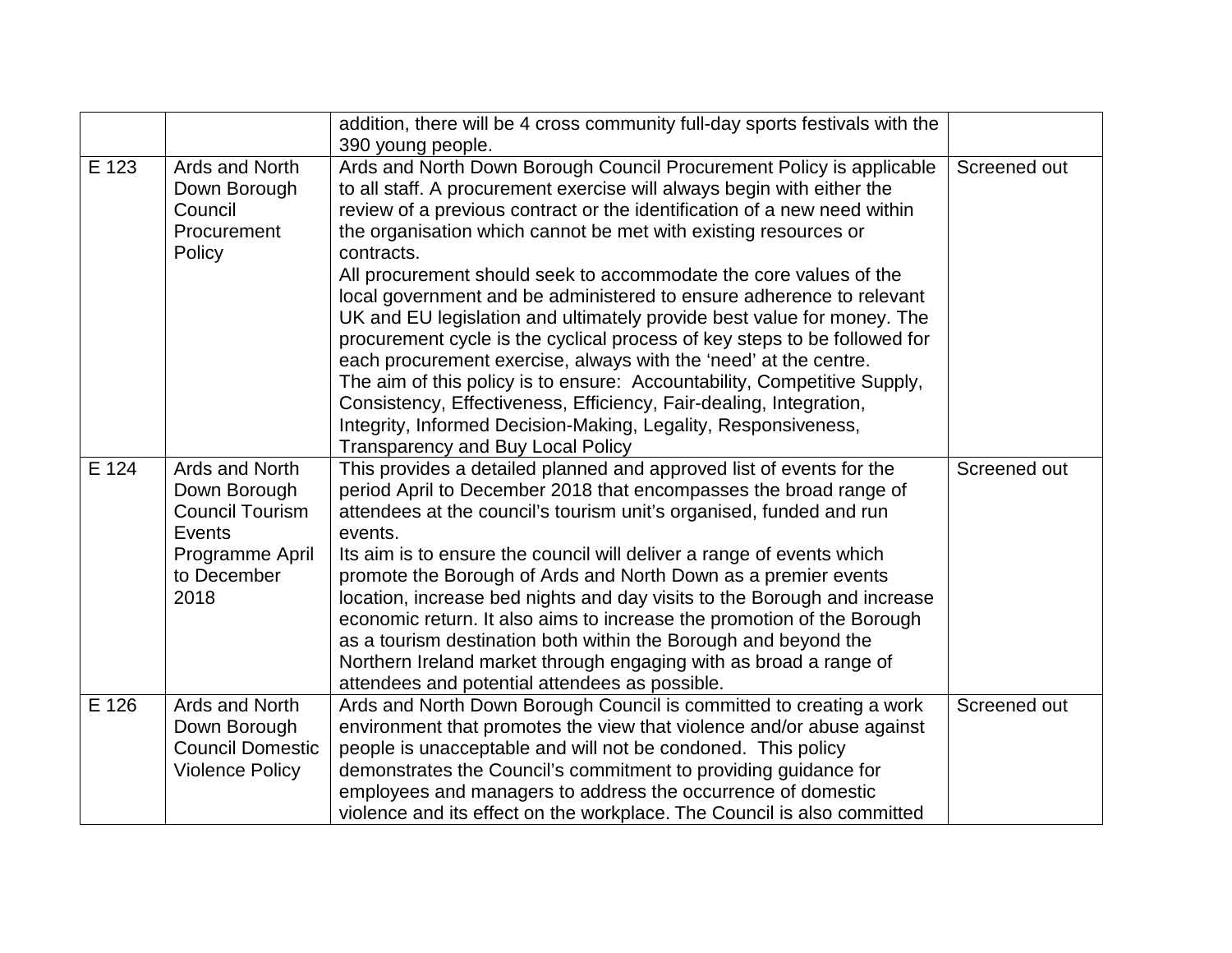|       |                                                                                                              | addition, there will be 4 cross community full-day sports festivals with the<br>390 young people.                                                                                                                                                                                                                                                                                                                                                                                                                                                                                                                                                                                                                                                                                                                                                                                                                                            |              |
|-------|--------------------------------------------------------------------------------------------------------------|----------------------------------------------------------------------------------------------------------------------------------------------------------------------------------------------------------------------------------------------------------------------------------------------------------------------------------------------------------------------------------------------------------------------------------------------------------------------------------------------------------------------------------------------------------------------------------------------------------------------------------------------------------------------------------------------------------------------------------------------------------------------------------------------------------------------------------------------------------------------------------------------------------------------------------------------|--------------|
| E 123 | Ards and North<br>Down Borough<br>Council<br>Procurement<br>Policy                                           | Ards and North Down Borough Council Procurement Policy is applicable<br>to all staff. A procurement exercise will always begin with either the<br>review of a previous contract or the identification of a new need within<br>the organisation which cannot be met with existing resources or<br>contracts.<br>All procurement should seek to accommodate the core values of the<br>local government and be administered to ensure adherence to relevant<br>UK and EU legislation and ultimately provide best value for money. The<br>procurement cycle is the cyclical process of key steps to be followed for<br>each procurement exercise, always with the 'need' at the centre.<br>The aim of this policy is to ensure: Accountability, Competitive Supply,<br>Consistency, Effectiveness, Efficiency, Fair-dealing, Integration,<br>Integrity, Informed Decision-Making, Legality, Responsiveness,<br>Transparency and Buy Local Policy | Screened out |
| E 124 | Ards and North<br>Down Borough<br><b>Council Tourism</b><br>Events<br>Programme April<br>to December<br>2018 | This provides a detailed planned and approved list of events for the<br>period April to December 2018 that encompasses the broad range of<br>attendees at the council's tourism unit's organised, funded and run<br>events.<br>Its aim is to ensure the council will deliver a range of events which<br>promote the Borough of Ards and North Down as a premier events<br>location, increase bed nights and day visits to the Borough and increase<br>economic return. It also aims to increase the promotion of the Borough<br>as a tourism destination both within the Borough and beyond the<br>Northern Ireland market through engaging with as broad a range of<br>attendees and potential attendees as possible.                                                                                                                                                                                                                       | Screened out |
| E 126 | Ards and North<br>Down Borough<br><b>Council Domestic</b><br><b>Violence Policy</b>                          | Ards and North Down Borough Council is committed to creating a work<br>environment that promotes the view that violence and/or abuse against<br>people is unacceptable and will not be condoned. This policy<br>demonstrates the Council's commitment to providing guidance for<br>employees and managers to address the occurrence of domestic<br>violence and its effect on the workplace. The Council is also committed                                                                                                                                                                                                                                                                                                                                                                                                                                                                                                                   | Screened out |